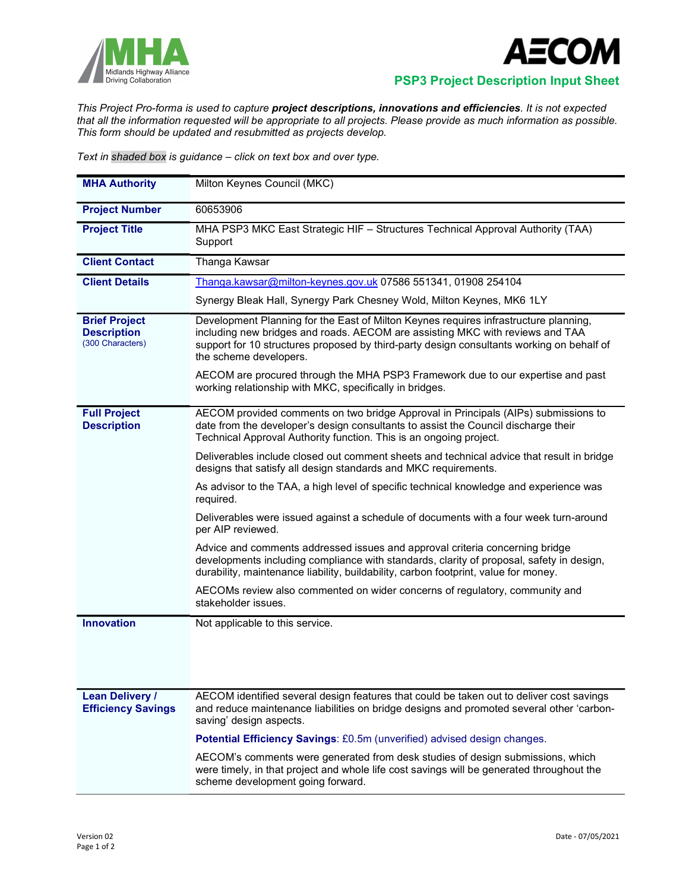



Midlands Highway Alliance<br>Driving Collaboration **PSP3 Project Description Input Sheet** 

This Project Pro-forma is used to capture project descriptions, innovations and efficiencies. It is not expected that all the information requested will be appropriate to all projects. Please provide as much information as possible. This form should be updated and resubmitted as projects develop.

Text in shaded box is guidance – click on text box and over type.

| <b>MHA Authority</b>                                           | Milton Keynes Council (MKC)                                                                                                                                                                                                                                                                  |  |  |  |  |
|----------------------------------------------------------------|----------------------------------------------------------------------------------------------------------------------------------------------------------------------------------------------------------------------------------------------------------------------------------------------|--|--|--|--|
| <b>Project Number</b>                                          | 60653906                                                                                                                                                                                                                                                                                     |  |  |  |  |
| <b>Project Title</b>                                           | MHA PSP3 MKC East Strategic HIF - Structures Technical Approval Authority (TAA)<br>Support                                                                                                                                                                                                   |  |  |  |  |
| <b>Client Contact</b>                                          | Thanga Kawsar                                                                                                                                                                                                                                                                                |  |  |  |  |
| <b>Client Details</b>                                          | Thanga.kawsar@milton-keynes.gov.uk 07586 551341, 01908 254104                                                                                                                                                                                                                                |  |  |  |  |
|                                                                | Synergy Bleak Hall, Synergy Park Chesney Wold, Milton Keynes, MK6 1LY                                                                                                                                                                                                                        |  |  |  |  |
| <b>Brief Project</b><br><b>Description</b><br>(300 Characters) | Development Planning for the East of Milton Keynes requires infrastructure planning,<br>including new bridges and roads. AECOM are assisting MKC with reviews and TAA<br>support for 10 structures proposed by third-party design consultants working on behalf of<br>the scheme developers. |  |  |  |  |
|                                                                | AECOM are procured through the MHA PSP3 Framework due to our expertise and past<br>working relationship with MKC, specifically in bridges.                                                                                                                                                   |  |  |  |  |
| <b>Full Project</b><br><b>Description</b>                      | AECOM provided comments on two bridge Approval in Principals (AIPs) submissions to<br>date from the developer's design consultants to assist the Council discharge their<br>Technical Approval Authority function. This is an ongoing project.                                               |  |  |  |  |
|                                                                | Deliverables include closed out comment sheets and technical advice that result in bridge<br>designs that satisfy all design standards and MKC requirements.                                                                                                                                 |  |  |  |  |
|                                                                | As advisor to the TAA, a high level of specific technical knowledge and experience was<br>required.                                                                                                                                                                                          |  |  |  |  |
|                                                                | Deliverables were issued against a schedule of documents with a four week turn-around<br>per AIP reviewed.                                                                                                                                                                                   |  |  |  |  |
|                                                                | Advice and comments addressed issues and approval criteria concerning bridge<br>developments including compliance with standards, clarity of proposal, safety in design,<br>durability, maintenance liability, buildability, carbon footprint, value for money.                              |  |  |  |  |
|                                                                | AECOMs review also commented on wider concerns of regulatory, community and<br>stakeholder issues.                                                                                                                                                                                           |  |  |  |  |
| Innovation                                                     | Not applicable to this service.                                                                                                                                                                                                                                                              |  |  |  |  |
|                                                                |                                                                                                                                                                                                                                                                                              |  |  |  |  |
|                                                                |                                                                                                                                                                                                                                                                                              |  |  |  |  |
| <b>Lean Delivery /</b><br><b>Efficiency Savings</b>            | AECOM identified several design features that could be taken out to deliver cost savings<br>and reduce maintenance liabilities on bridge designs and promoted several other 'carbon-<br>saving' design aspects.                                                                              |  |  |  |  |
|                                                                | Potential Efficiency Savings: £0.5m (unverified) advised design changes.                                                                                                                                                                                                                     |  |  |  |  |
|                                                                | AECOM's comments were generated from desk studies of design submissions, which<br>were timely, in that project and whole life cost savings will be generated throughout the<br>scheme development going forward.                                                                             |  |  |  |  |